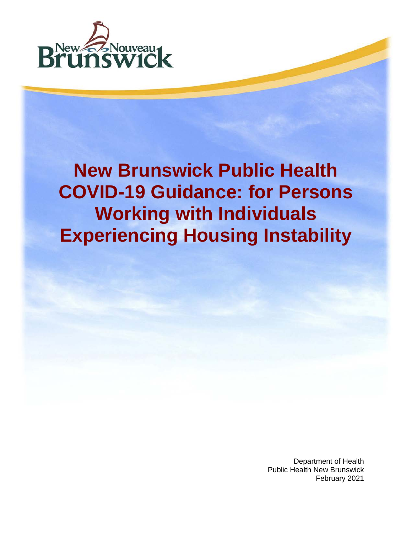

# **New Brunswick Public Health COVID-19 Guidance: for Persons Working with Individuals Experiencing Housing Instability**

Department of Health Public Health New Brunswick February 2021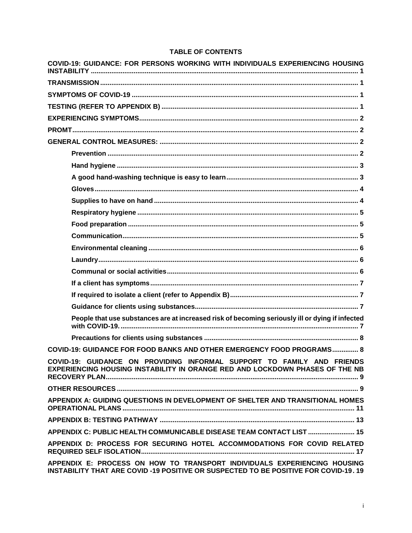## TABLE OF CONTENTS

| COVID-19: GUIDANCE: FOR PERSONS WORKING WITH INDIVIDUALS EXPERIENCING HOUSING                                                                                    |
|------------------------------------------------------------------------------------------------------------------------------------------------------------------|
|                                                                                                                                                                  |
|                                                                                                                                                                  |
|                                                                                                                                                                  |
|                                                                                                                                                                  |
|                                                                                                                                                                  |
|                                                                                                                                                                  |
|                                                                                                                                                                  |
|                                                                                                                                                                  |
|                                                                                                                                                                  |
|                                                                                                                                                                  |
|                                                                                                                                                                  |
|                                                                                                                                                                  |
|                                                                                                                                                                  |
|                                                                                                                                                                  |
|                                                                                                                                                                  |
|                                                                                                                                                                  |
|                                                                                                                                                                  |
|                                                                                                                                                                  |
|                                                                                                                                                                  |
|                                                                                                                                                                  |
| People that use substances are at increased risk of becoming seriously ill or dying if infected                                                                  |
|                                                                                                                                                                  |
| COVID-19: GUIDANCE FOR FOOD BANKS AND OTHER EMERGENCY FOOD PROGRAMS 8                                                                                            |
| COVID-19: GUIDANCE ON PROVIDING INFORMAL SUPPORT TO FAMILY AND FRIENDS<br>EXPERIENCING HOUSING INSTABILITY IN ORANGE RED AND LOCKDOWN PHASES OF THE NB           |
|                                                                                                                                                                  |
| APPENDIX A: GUIDING QUESTIONS IN DEVELOPMENT OF SHELTER AND TRANSITIONAL HOMES                                                                                   |
|                                                                                                                                                                  |
| APPENDIX C: PUBLIC HEALTH COMMUNICABLE DISEASE TEAM CONTACT LIST  15                                                                                             |
| APPENDIX D: PROCESS FOR SECURING HOTEL ACCOMMODATIONS FOR COVID RELATED                                                                                          |
| APPENDIX E: PROCESS ON HOW TO TRANSPORT INDIVIDUALS EXPERIENCING HOUSING<br>INSTABILITY THAT ARE COVID -19 POSITIVE OR SUSPECTED TO BE POSITIVE FOR COVID-19. 19 |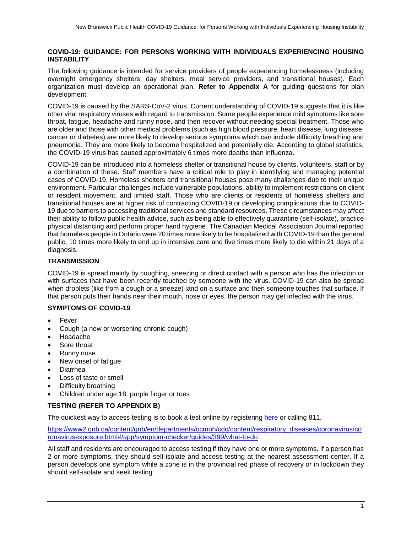## <span id="page-4-0"></span>**COVID-19: GUIDANCE: FOR PERSONS WORKING WITH INDIVIDUALS EXPERIENCING HOUSING INSTABILITY**

The following guidance is intended for service providers of people experiencing homelessness (including overnight emergency shelters, day shelters, meal service providers, and transitional houses). Each organization must develop an operational plan. **Refer to Appendix A** for guiding questions for plan development.

COVID-19 is caused by the SARS-CoV-2 virus. Current understanding of COVID-19 suggests that it is like other viral respiratory viruses with regard to transmission. Some people experience mild symptoms like sore throat, fatigue, headache and runny nose, and then recover without needing special treatment. Those who are older and those with other medical problems (such as high blood pressure, heart disease, lung disease, cancer or diabetes) are more likely to develop serious symptoms which can include difficulty breathing and pneumonia. They are more likely to become hospitalized and potentially die. According to global statistics, the COVID-19 virus has caused approximately 6 times more deaths than influenza.

COVID-19 can be introduced into a homeless shelter or transitional house by clients, volunteers, staff or by a combination of these. Staff members have a critical role to play in identifying and managing potential cases of COVID-19. Homeless shelters and transitional houses pose many challenges due to their unique environment. Particular challenges include vulnerable populations, ability to implement restrictions on client or resident movement, and limited staff. Those who are clients or residents of homeless shelters and transitional houses are at higher risk of contracting COVID-19 or developing complications due to COVID-19 due to barriers to accessing traditional services and standard resources. These circumstances may affect their ability to follow public health advice, such as being able to effectively quarantine (self-isolate), practice physical distancing and perform proper hand hygiene. The Canadian Medical Association Journal reported that homeless people in Ontario were 20 times more likely to be hospitalized with COVID-19 than the general public, 10 times more likely to end up in intensive care and five times more likely to die within 21 days of a diagnosis.

## <span id="page-4-1"></span>**TRANSMISSION**

COVID-19 is spread mainly by coughing, sneezing or direct contact with a person who has the infection or with surfaces that have been recently touched by someone with the virus. COVID-19 can also be spread when droplets (like from a cough or a sneeze) land on a surface and then someone touches that surface. If that person puts their hands near their mouth, nose or eyes, the person may get infected with the virus.

## <span id="page-4-2"></span>**SYMPTOMS OF COVID-19**

- **Fever**
- Cough (a new or worsening chronic cough)
- Headache
- Sore throat
- Runny nose
- New onset of fatigue
- Diarrhea
- Loss of taste or smell
- Difficulty breathing
- Children under age 18: purple finger or toes

## <span id="page-4-3"></span>**TESTING (REFER TO APPENDIX B)**

The quickest way to access testing is to book a test online by registering [here](https://www.pxw1.snb.ca/snb9000/product.aspx?productid=A001P351900A&l=e) or calling 811.

[https://www2.gnb.ca/content/gnb/en/departments/ocmoh/cdc/content/respiratory\\_diseases/coronavirus/co](https://www2.gnb.ca/content/gnb/en/departments/ocmoh/cdc/content/respiratory_diseases/coronavirus/coronavirusexposure.html#/app/symptom-checker/guides/399/what-to-do) [ronavirusexposure.html#/app/symptom-checker/guides/399/what-to-do](https://www2.gnb.ca/content/gnb/en/departments/ocmoh/cdc/content/respiratory_diseases/coronavirus/coronavirusexposure.html#/app/symptom-checker/guides/399/what-to-do)

All staff and residents are encouraged to access testing if they have one or more symptoms. If a person has 2 or more symptoms, they should self-isolate and access testing at the nearest assessment center. If a person develops one symptom while a zone is in the provincial red phase of recovery or in lockdown they should self-isolate and seek testing.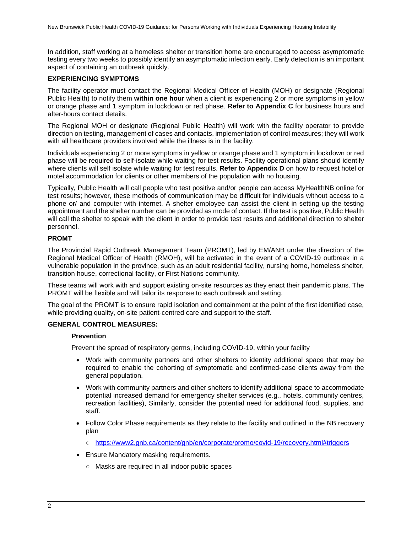In addition, staff working at a homeless shelter or transition home are encouraged to access asymptomatic testing every two weeks to possibly identify an asymptomatic infection early. Early detection is an important aspect of containing an outbreak quickly.

#### <span id="page-5-0"></span>**EXPERIENCING SYMPTOMS**

The facility operator must contact the Regional Medical Officer of Health (MOH) or designate (Regional Public Health) to notify them **within one hour** when a client is experiencing 2 or more symptoms in yellow or orange phase and 1 symptom in lockdown or red phase. **Refer to Appendix C** for business hours and after-hours contact details.

The Regional MOH or designate (Regional Public Health) will work with the facility operator to provide direction on testing, management of cases and contacts, implementation of control measures; they will work with all healthcare providers involved while the illness is in the facility.

Individuals experiencing 2 or more symptoms in yellow or orange phase and 1 symptom in lockdown or red phase will be required to self-isolate while waiting for test results. Facility operational plans should identify where clients will self isolate while waiting for test results. **Refer to Appendix D** on how to request hotel or motel accommodation for clients or other members of the population with no housing.

Typically, Public Health will call people who test positive and/or people can access MyHealthNB online for test results; however, these methods of communication may be difficult for individuals without access to a phone or/ and computer with internet. A shelter employee can assist the client in setting up the testing appointment and the shelter number can be provided as mode of contact. If the test is positive, Public Health will call the shelter to speak with the client in order to provide test results and additional direction to shelter personnel.

#### <span id="page-5-1"></span>**PROMT**

The Provincial Rapid Outbreak Management Team (PROMT), led by EM/ANB under the direction of the Regional Medical Officer of Health (RMOH), will be activated in the event of a COVID-19 outbreak in a vulnerable population in the province, such as an adult residential facility, nursing home, homeless shelter, transition house, correctional facility, or First Nations community.

These teams will work with and support existing on-site resources as they enact their pandemic plans. The PROMT will be flexible and will tailor its response to each outbreak and setting.

The goal of the PROMT is to ensure rapid isolation and containment at the point of the first identified case, while providing quality, on-site patient-centred care and support to the staff.

#### <span id="page-5-3"></span><span id="page-5-2"></span>**GENERAL CONTROL MEASURES:**

#### **Prevention**

Prevent the spread of respiratory germs, including COVID-19, within your facility

- Work with community partners and other shelters to identity additional space that may be required to enable the cohorting of symptomatic and confirmed-case clients away from the general population.
- Work with community partners and other shelters to identify additional space to accommodate potential increased demand for emergency shelter services (e.g., hotels, community centres, recreation facilities), Similarly, consider the potential need for additional food, supplies, and staff.
- Follow Color Phase requirements as they relate to the facility and outlined in the NB recovery plan
	- <https://www2.gnb.ca/content/gnb/en/corporate/promo/covid-19/recovery.html#triggers>
- Ensure Mandatory masking requirements.
	- Masks are required in all indoor public spaces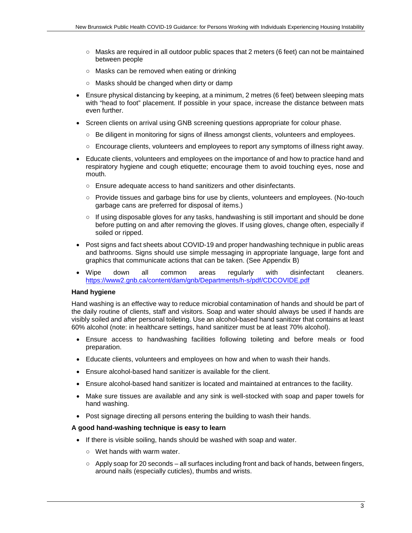- Masks are required in all outdoor public spaces that 2 meters (6 feet) can not be maintained between people
- Masks can be removed when eating or drinking
- Masks should be changed when dirty or damp
- Ensure physical distancing by keeping, at a minimum, 2 metres (6 feet) between sleeping mats with "head to foot" placement. If possible in your space, increase the distance between mats even further.
- Screen clients on arrival using GNB screening questions appropriate for colour phase.
	- Be diligent in monitoring for signs of illness amongst clients, volunteers and employees.
	- Encourage clients, volunteers and employees to report any symptoms of illness right away.
- Educate clients, volunteers and employees on the importance of and how to practice hand and respiratory hygiene and cough etiquette; encourage them to avoid touching eyes, nose and mouth.
	- Ensure adequate access to hand sanitizers and other disinfectants.
	- Provide tissues and garbage bins for use by clients, volunteers and employees. (No-touch garbage cans are preferred for disposal of items.)
	- If using disposable gloves for any tasks, handwashing is still important and should be done before putting on and after removing the gloves. If using gloves, change often, especially if soiled or ripped.
- Post signs and fact sheets about COVID-19 and proper handwashing technique in public areas and bathrooms. Signs should use simple messaging in appropriate language, large font and graphics that communicate actions that can be taken. (See Appendix B)
- Wipe down all common areas regularly with disinfectant cleaners. <https://www2.gnb.ca/content/dam/gnb/Departments/h-s/pdf/CDCOVIDE.pdf>

## <span id="page-6-0"></span>**Hand hygiene**

Hand washing is an effective way to reduce microbial contamination of hands and should be part of the daily routine of clients, staff and visitors. Soap and water should always be used if hands are visibly soiled and after personal toileting. Use an alcohol-based hand sanitizer that contains at least 60% alcohol (note: in healthcare settings, hand sanitizer must be at least 70% alcohol).

- Ensure access to handwashing facilities following toileting and before meals or food preparation.
- Educate clients, volunteers and employees on how and when to wash their hands.
- Ensure alcohol-based hand sanitizer is available for the client.
- Ensure alcohol-based hand sanitizer is located and maintained at entrances to the facility.
- Make sure tissues are available and any sink is well-stocked with soap and paper towels for hand washing.
- Post signage directing all persons entering the building to wash their hands.

## <span id="page-6-1"></span>**A good hand-washing technique is easy to learn**

- If there is visible soiling, hands should be washed with soap and water.
	- Wet hands with warm water.
	- Apply soap for 20 seconds all surfaces including front and back of hands, between fingers, around nails (especially cuticles), thumbs and wrists.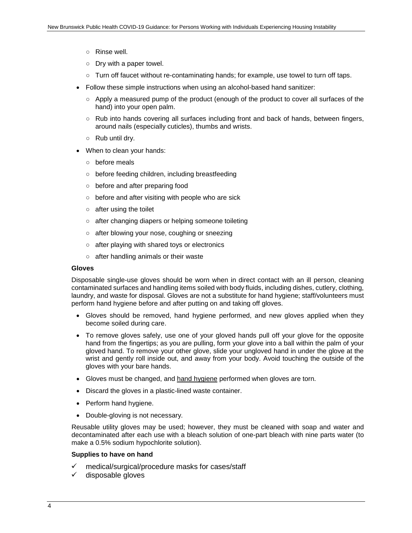- Rinse well.
- Dry with a paper towel.
- Turn off faucet without re-contaminating hands; for example, use towel to turn off taps.
- Follow these simple instructions when using an alcohol-based hand sanitizer:
	- Apply a measured pump of the product (enough of the product to cover all surfaces of the hand) into your open palm.
	- Rub into hands covering all surfaces including front and back of hands, between fingers, around nails (especially cuticles), thumbs and wrists.
	- $\circ$  Rub until dry.
- When to clean your hands:
	- before meals
	- before feeding children, including breastfeeding
	- before and after preparing food
	- before and after visiting with people who are sick
	- $\circ$  after using the toilet
	- after changing diapers or helping someone toileting
	- after blowing your nose, coughing or sneezing
	- after playing with shared toys or electronics
	- after handling animals or their waste

#### <span id="page-7-0"></span>**Gloves**

Disposable single-use gloves should be worn when in direct contact with an ill person, cleaning contaminated surfaces and handling items soiled with body fluids, including dishes, cutlery, clothing, laundry, and waste for disposal. Gloves are not a substitute for hand hygiene; staff/volunteers must perform hand hygiene before and after putting on and taking off gloves.

- Gloves should be removed, hand hygiene performed, and new gloves applied when they become soiled during care.
- To remove gloves safely, use one of your gloved hands pull off your glove for the opposite hand from the fingertips; as you are pulling, form your glove into a ball within the palm of your gloved hand. To remove your other glove, slide your ungloved hand in under the glove at the wrist and gently roll inside out, and away from your body. Avoid touching the outside of the gloves with your bare hands.
- Gloves must be changed, and hand hygiene performed when gloves are torn.
- Discard the gloves in a plastic-lined waste container.
- Perform hand hygiene.
- Double-gloving is not necessary.

Reusable utility gloves may be used; however, they must be cleaned with soap and water and decontaminated after each use with a bleach solution of one-part bleach with nine parts water (to make a 0.5% sodium hypochlorite solution).

#### <span id="page-7-1"></span>**Supplies to have on hand**

- medical/surgical/procedure masks for cases/staff
- disposable gloves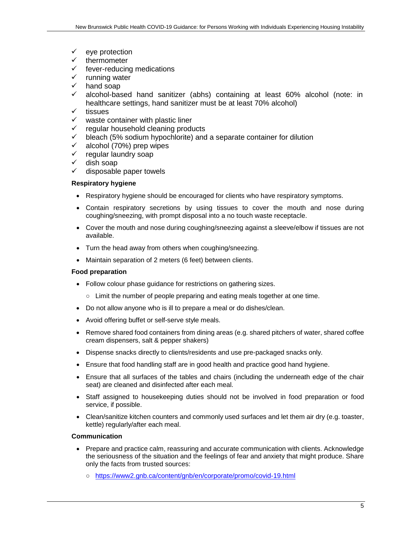- $\checkmark$  eye protection
- thermometer
- $\checkmark$  fever-reducing medications<br> $\checkmark$  running water
- $\checkmark$  running water<br> $\checkmark$  hand soap
- hand soap
- $\checkmark$  alcohol-based hand sanitizer (abhs) containing at least 60% alcohol (note: in healthcare settings, hand sanitizer must be at least 70% alcohol)
- $\checkmark$  tissues
- waste container with plastic liner
- regular household cleaning products
- $\checkmark$  bleach (5% sodium hypochlorite) and a separate container for dilution  $\checkmark$  alcohol (70%) prep wipes
- alcohol (70%) prep wipes
- ✓ regular laundry soap<br>✓ dish soap
- dish soap
- $\checkmark$  disposable paper towels

#### <span id="page-8-0"></span>**Respiratory hygiene**

- Respiratory hygiene should be encouraged for clients who have respiratory symptoms.
- Contain respiratory secretions by using tissues to cover the mouth and nose during coughing/sneezing, with prompt disposal into a no touch waste receptacle.
- Cover the mouth and nose during coughing/sneezing against a sleeve/elbow if tissues are not available.
- Turn the head away from others when coughing/sneezing.
- Maintain separation of 2 meters (6 feet) between clients.

## <span id="page-8-1"></span>**Food preparation**

- Follow colour phase guidance for restrictions on gathering sizes.
	- Limit the number of people preparing and eating meals together at one time.
- Do not allow anyone who is ill to prepare a meal or do dishes/clean.
- Avoid offering buffet or self-serve style meals.
- Remove shared food containers from dining areas (e.g. shared pitchers of water, shared coffee cream dispensers, salt & pepper shakers)
- Dispense snacks directly to clients/residents and use pre-packaged snacks only.
- Ensure that food handling staff are in good health and practice good hand hygiene.
- Ensure that all surfaces of the tables and chairs (including the underneath edge of the chair seat) are cleaned and disinfected after each meal.
- Staff assigned to housekeeping duties should not be involved in food preparation or food service, if possible.
- Clean/sanitize kitchen counters and commonly used surfaces and let them air dry (e.g. toaster, kettle) regularly/after each meal.

#### <span id="page-8-2"></span>**Communication**

- Prepare and practice calm, reassuring and accurate communication with clients. Acknowledge the seriousness of the situation and the feelings of fear and anxiety that might produce. Share only the facts from trusted sources:
	- <https://www2.gnb.ca/content/gnb/en/corporate/promo/covid-19.html>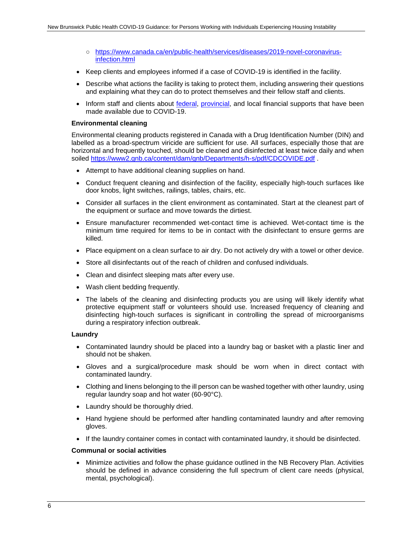- [https://www.canada.ca/en/public-health/services/diseases/2019-novel-coronavirus](https://www.canada.ca/en/public-health/services/diseases/2019-novel-coronavirus-infection.html)[infection.html](https://www.canada.ca/en/public-health/services/diseases/2019-novel-coronavirus-infection.html)
- Keep clients and employees informed if a case of COVID-19 is identified in the facility.
- Describe what actions the facility is taking to protect them, including answering their questions and explaining what they can do to protect themselves and their fellow staff and clients.
- Inform staff and clients about [federal,](https://www.canada.ca/en/department-finance/economic-response-plan.html) [provincial,](https://www2.gnb.ca/content/gnb/en/gateways/for_business/covid19.html) and local financial supports that have been made available due to COVID-19.

#### <span id="page-9-0"></span>**Environmental cleaning**

Environmental cleaning products registered in Canada with a Drug Identification Number (DIN) and labelled as a broad-spectrum viricide are sufficient for use. All surfaces, especially those that are horizontal and frequently touched, should be cleaned and disinfected at least twice daily and when soiled<https://www2.gnb.ca/content/dam/gnb/Departments/h-s/pdf/CDCOVIDE.pdf>

- Attempt to have additional cleaning supplies on hand.
- Conduct frequent cleaning and disinfection of the facility, especially high-touch surfaces like door knobs, light switches, railings, tables, chairs, etc.
- Consider all surfaces in the client environment as contaminated. Start at the cleanest part of the equipment or surface and move towards the dirtiest.
- Ensure manufacturer recommended wet-contact time is achieved. Wet-contact time is the minimum time required for items to be in contact with the disinfectant to ensure germs are killed.
- Place equipment on a clean surface to air dry. Do not actively dry with a towel or other device.
- Store all disinfectants out of the reach of children and confused individuals.
- Clean and disinfect sleeping mats after every use.
- Wash client bedding frequently.
- The labels of the cleaning and disinfecting products you are using will likely identify what protective equipment staff or volunteers should use. Increased frequency of cleaning and disinfecting high-touch surfaces is significant in controlling the spread of microorganisms during a respiratory infection outbreak.

#### <span id="page-9-1"></span>**Laundry**

- Contaminated laundry should be placed into a laundry bag or basket with a plastic liner and should not be shaken.
- Gloves and a surgical/procedure mask should be worn when in direct contact with contaminated laundry.
- Clothing and linens belonging to the ill person can be washed together with other laundry, using regular laundry soap and hot water (60-90°C).
- Laundry should be thoroughly dried.
- Hand hygiene should be performed after handling contaminated laundry and after removing gloves.
- If the laundry container comes in contact with contaminated laundry, it should be disinfected.

#### <span id="page-9-2"></span>**Communal or social activities**

• Minimize activities and follow the phase guidance outlined in the NB Recovery Plan. Activities should be defined in advance considering the full spectrum of client care needs (physical, mental, psychological).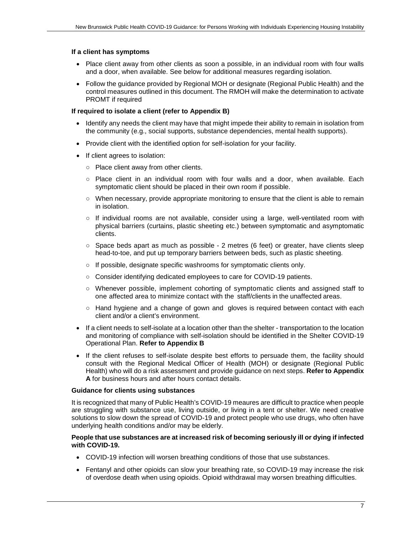#### <span id="page-10-0"></span>**If a client has symptoms**

- Place client away from other clients as soon a possible, in an individual room with four walls and a door, when available. See below for additional measures regarding isolation.
- Follow the guidance provided by Regional MOH or designate (Regional Public Health) and the control measures outlined in this document. The RMOH will make the determination to activate PROMT if required

## <span id="page-10-1"></span>**If required to isolate a client (refer to Appendix B)**

- Identify any needs the client may have that might impede their ability to remain in isolation from the community (e.g., social supports, substance dependencies, mental health supports).
- Provide client with the identified option for self-isolation for your facility.
- If client agrees to isolation:
	- Place client away from other clients.
	- Place client in an individual room with four walls and a door, when available. Each symptomatic client should be placed in their own room if possible.
	- When necessary, provide appropriate monitoring to ensure that the client is able to remain in isolation.
	- If individual rooms are not available, consider using a large, well-ventilated room with physical barriers (curtains, plastic sheeting etc.) between symptomatic and asymptomatic clients.
	- Space beds apart as much as possible 2 metres (6 feet) or greater, have clients sleep head-to-toe, and put up temporary barriers between beds, such as plastic sheeting.
	- If possible, designate specific washrooms for symptomatic clients only.
	- Consider identifying dedicated employees to care for COVID-19 patients.
	- Whenever possible, implement cohorting of symptomatic clients and assigned staff to one affected area to minimize contact with the staff/clients in the unaffected areas.
	- Hand hygiene and a change of gown and gloves is required between contact with each client and/or a client's environment.
- If a client needs to self-isolate at a location other than the shelter transportation to the location and monitoring of compliance with self-isolation should be identified in the Shelter COVID-19 Operational Plan. **Refer to Appendix B**
- If the client refuses to self-isolate despite best efforts to persuade them, the facility should consult with the Regional Medical Officer of Health (MOH) or designate (Regional Public Health) who will do a risk assessment and provide guidance on next steps. **Refer to Appendix A** for business hours and after hours contact details.

## <span id="page-10-2"></span>**Guidance for clients using substances**

It is recognized that many of Public Health's COVID-19 meaures are difficult to practice when people are struggling with substance use, living outside, or living in a tent or shelter. We need creative solutions to slow down the spread of COVID-19 and protect people who use drugs, who often have underlying health conditions and/or may be elderly.

#### <span id="page-10-3"></span>**People that use substances are at increased risk of becoming seriously ill or dying if infected with COVID-19.**

- COVID-19 infection will worsen breathing conditions of those that use substances.
- Fentanyl and other opioids can slow your breathing rate, so COVID-19 may increase the risk of overdose death when using opioids. Opioid withdrawal may worsen breathing difficulties.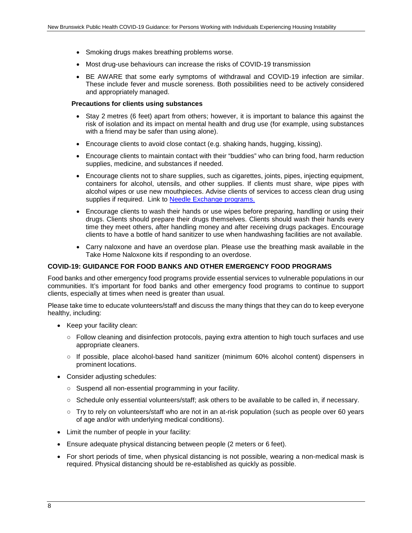- Smoking drugs makes breathing problems worse.
- Most drug-use behaviours can increase the risks of COVID-19 transmission
- BE AWARE that some early symptoms of withdrawal and COVID-19 infection are similar. These include fever and muscle soreness. Both possibilities need to be actively considered and appropriately managed.

#### <span id="page-11-0"></span>**Precautions for clients using substances**

- Stay 2 metres (6 feet) apart from others; however, it is important to balance this against the risk of isolation and its impact on mental health and drug use (for example, using substances with a friend may be safer than using alone).
- Encourage clients to avoid close contact (e.g. shaking hands, hugging, kissing).
- Encourage clients to maintain contact with their "buddies" who can bring food, harm reduction supplies, medicine, and substances if needed.
- Encourage clients not to share supplies, such as cigarettes, joints, pipes, injecting equipment, containers for alcohol, utensils, and other supplies. If clients must share, wipe pipes with alcohol wipes or use new mouthpieces. Advise clients of services to access clean drug using supplies if required. Link to [Needle Exchange programs.](https://www2.gnb.ca/content/gnb/en/departments/health/Addiction_and_Substance_Use/methamphetamine.html)
- Encourage clients to wash their hands or use wipes before preparing, handling or using their drugs. Clients should prepare their drugs themselves. Clients should wash their hands every time they meet others, after handling money and after receiving drugs packages. Encourage clients to have a bottle of hand sanitizer to use when handwashing facilities are not available.
- Carry naloxone and have an overdose plan. Please use the breathing mask available in the Take Home Naloxone kits if responding to an overdose.

#### <span id="page-11-1"></span>**COVID-19: GUIDANCE FOR FOOD BANKS AND OTHER EMERGENCY FOOD PROGRAMS**

Food banks and other emergency food programs provide essential services to vulnerable populations in our communities. It's important for food banks and other emergency food programs to continue to support clients, especially at times when need is greater than usual.

Please take time to educate volunteers/staff and discuss the many things that they can do to keep everyone healthy, including:

- Keep your facility clean:
	- Follow cleaning and disinfection protocols, paying extra attention to high touch surfaces and use appropriate cleaners.
	- If possible, place alcohol-based hand sanitizer (minimum 60% alcohol content) dispensers in prominent locations.
- Consider adjusting schedules:
	- Suspend all non-essential programming in your facility.
	- Schedule only essential volunteers/staff; ask others to be available to be called in, if necessary.
	- Try to rely on volunteers/staff who are not in an at-risk population (such as people over 60 years of age and/or with underlying medical conditions).
- Limit the number of people in your facility:
- Ensure adequate physical distancing between people (2 meters or 6 feet).
- For short periods of time, when physical distancing is not possible, wearing a non-medical mask is required. Physical distancing should be re-established as quickly as possible.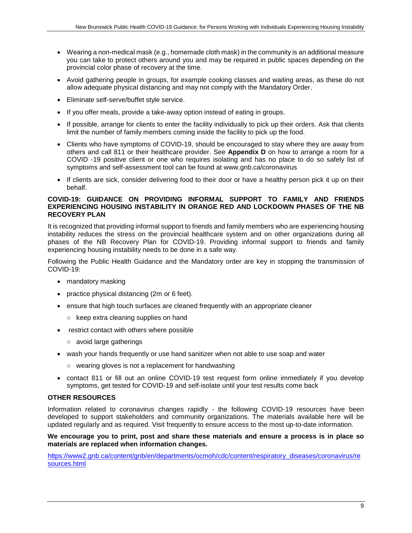- Wearing a non-medical mask (e.g., homemade cloth mask) in the community is an additional measure you can take to protect others around you and may be required in public spaces depending on the provincial color phase of recovery at the time.
- Avoid gathering people in groups, for example cooking classes and waiting areas, as these do not allow adequate physical distancing and may not comply with the Mandatory Order.
- Eliminate self-serve/buffet style service.
- If you offer meals, provide a take-away option instead of eating in groups.
- If possible, arrange for clients to enter the facility individually to pick up their orders. Ask that clients limit the number of family members coming inside the facility to pick up the food.
- Clients who have symptoms of COVID-19, should be encouraged to stay where they are away from others and call 811 or their healthcare provider. See **Appendix D** on how to arrange a room for a COVID -19 positive client or one who requires isolating and has no place to do so safely list of symptoms and self-assessment tool can be found at www.gnb.ca/coronavirus
- If clients are sick, consider delivering food to their door or have a healthy person pick it up on their behalf.

## <span id="page-12-0"></span>**COVID-19: GUIDANCE ON PROVIDING INFORMAL SUPPORT TO FAMILY AND FRIENDS EXPERIENCING HOUSING INSTABILITY IN ORANGE RED AND LOCKDOWN PHASES OF THE NB RECOVERY PLAN**

It is recognized that providing informal support to friends and family members who are experiencing housing instability reduces the stress on the provincial healthcare system and on other organizations during all phases of the NB Recovery Plan for COVID-19. Providing informal support to friends and family experiencing housing instability needs to be done in a safe way.

Following the Public Health Guidance and the Mandatory order are key in stopping the transmission of COVID-19:

- mandatory masking
- practice physical distancing (2m or 6 feet).
- ensure that high touch surfaces are cleaned frequently with an appropriate cleaner
	- keep extra cleaning supplies on hand
- restrict contact with others where possible
	- avoid large gatherings
- wash your hands frequently or use hand sanitizer when not able to use soap and water
	- wearing gloves is not a replacement for handwashing
- contact 811 or fill out an online COVID-19 test request form online immediately if you develop symptoms, get tested for COVID-19 and self-isolate until your test results come back

## <span id="page-12-1"></span>**OTHER RESOURCES**

Information related to coronavirus changes rapidly - the following COVID-19 resources have been developed to support stakeholders and community organizations. The materials available here will be updated regularly and as required. Visit frequently to ensure access to the most up-to-date information.

#### **We encourage you to print, post and share these materials and ensure a process is in place so materials are replaced when information changes.**

[https://www2.gnb.ca/content/gnb/en/departments/ocmoh/cdc/content/respiratory\\_diseases/coronavirus/re](https://www2.gnb.ca/content/gnb/en/departments/ocmoh/cdc/content/respiratory_diseases/coronavirus/resources.html) [sources.html](https://www2.gnb.ca/content/gnb/en/departments/ocmoh/cdc/content/respiratory_diseases/coronavirus/resources.html)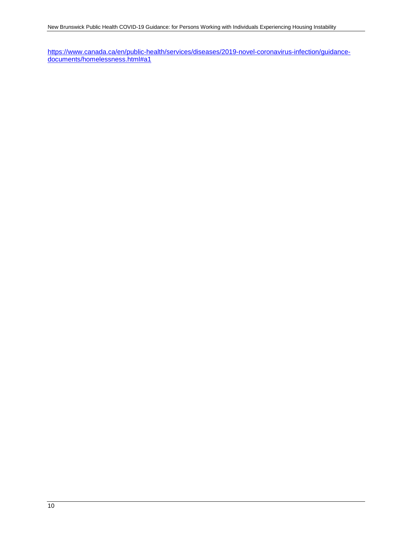[https://www.canada.ca/en/public-health/services/diseases/2019-novel-coronavirus-infection/guidance](https://www.canada.ca/en/public-health/services/diseases/2019-novel-coronavirus-infection/guidance-documents/homelessness.html#a1)[documents/homelessness.html#a1](https://www.canada.ca/en/public-health/services/diseases/2019-novel-coronavirus-infection/guidance-documents/homelessness.html#a1)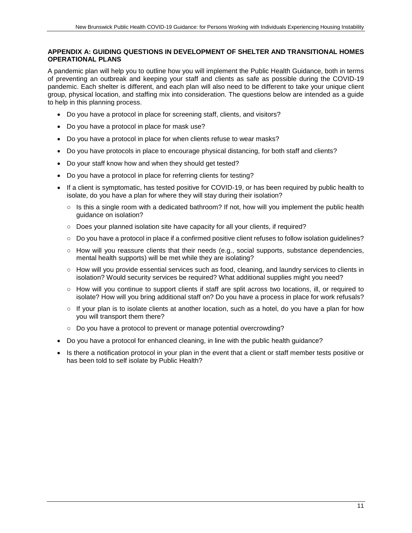## <span id="page-14-0"></span>**APPENDIX A: GUIDING QUESTIONS IN DEVELOPMENT OF SHELTER AND TRANSITIONAL HOMES OPERATIONAL PLANS**

A pandemic plan will help you to outline how you will implement the Public Health Guidance, both in terms of preventing an outbreak and keeping your staff and clients as safe as possible during the COVID-19 pandemic. Each shelter is different, and each plan will also need to be different to take your unique client group, physical location, and staffing mix into consideration. The questions below are intended as a guide to help in this planning process.

- Do you have a protocol in place for screening staff, clients, and visitors?
- Do you have a protocol in place for mask use?
- Do you have a protocol in place for when clients refuse to wear masks?
- Do you have protocols in place to encourage physical distancing, for both staff and clients?
- Do your staff know how and when they should get tested?
- Do you have a protocol in place for referring clients for testing?
- If a client is symptomatic, has tested positive for COVID-19, or has been required by public health to isolate, do you have a plan for where they will stay during their isolation?
	- Is this a single room with a dedicated bathroom? If not, how will you implement the public health guidance on isolation?
	- Does your planned isolation site have capacity for all your clients, if required?
	- Do you have a protocol in place if a confirmed positive client refuses to follow isolation quidelines?
	- How will you reassure clients that their needs (e.g., social supports, substance dependencies, mental health supports) will be met while they are isolating?
	- How will you provide essential services such as food, cleaning, and laundry services to clients in isolation? Would security services be required? What additional supplies might you need?
	- How will you continue to support clients if staff are split across two locations, ill, or required to isolate? How will you bring additional staff on? Do you have a process in place for work refusals?
	- If your plan is to isolate clients at another location, such as a hotel, do you have a plan for how you will transport them there?
	- Do you have a protocol to prevent or manage potential overcrowding?
- Do you have a protocol for enhanced cleaning, in line with the public health guidance?
- Is there a notification protocol in your plan in the event that a client or staff member tests positive or has been told to self isolate by Public Health?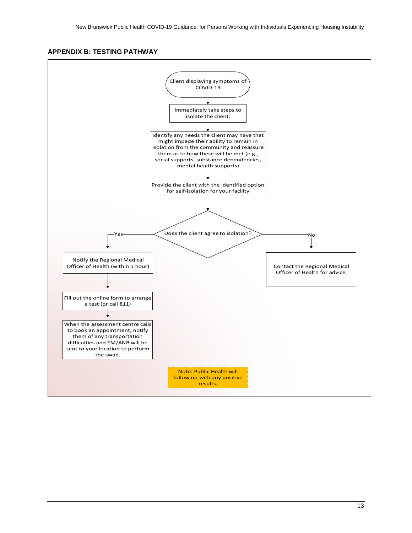## <span id="page-16-0"></span>**APPENDIX B: TESTING PATHWAY**

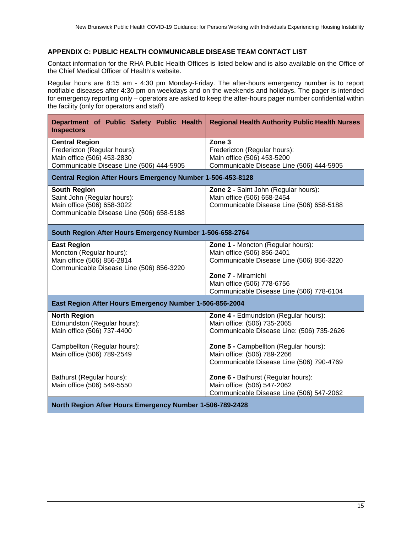## <span id="page-18-0"></span>**APPENDIX C: PUBLIC HEALTH COMMUNICABLE DISEASE TEAM CONTACT LIST**

Contact information for the RHA Public Health Offices is listed below and is also available on the Office of the Chief Medical Officer of Health's website.

Regular hours are 8:15 am - 4:30 pm Monday-Friday. The after-hours emergency number is to report notifiable diseases after 4:30 pm on weekdays and on the weekends and holidays. The pager is intended for emergency reporting only – operators are asked to keep the after-hours pager number confidential within the facility (only for operators and staff)

| Department of Public Safety Public Health<br><b>Inspectors</b>                                                                                 | <b>Regional Health Authority Public Health Nurses</b>                                                                                                                                                                                |  |
|------------------------------------------------------------------------------------------------------------------------------------------------|--------------------------------------------------------------------------------------------------------------------------------------------------------------------------------------------------------------------------------------|--|
| <b>Central Region</b><br>Fredericton (Regular hours):<br>Main office (506) 453-2830<br>Communicable Disease Line (506) 444-5905                | Zone <sub>3</sub><br>Fredericton (Regular hours):<br>Main office (506) 453-5200<br>Communicable Disease Line (506) 444-5905                                                                                                          |  |
| Central Region After Hours Emergency Number 1-506-453-8128                                                                                     |                                                                                                                                                                                                                                      |  |
| <b>South Region</b><br>Saint John (Regular hours):<br>Main office (506) 658-3022<br>Communicable Disease Line (506) 658-5188                   | Zone 2 - Saint John (Regular hours):<br>Main office (506) 658-2454<br>Communicable Disease Line (506) 658-5188                                                                                                                       |  |
| South Region After Hours Emergency Number 1-506-658-2764                                                                                       |                                                                                                                                                                                                                                      |  |
| <b>East Region</b><br>Moncton (Regular hours):<br>Main office (506) 856-2814<br>Communicable Disease Line (506) 856-3220                       | Zone 1 - Moncton (Regular hours):<br>Main office (506) 856-2401<br>Communicable Disease Line (506) 856-3220<br>Zone 7 - Miramichi<br>Main office (506) 778-6756<br>Communicable Disease Line (506) 778-6104                          |  |
| East Region After Hours Emergency Number 1-506-856-2004                                                                                        |                                                                                                                                                                                                                                      |  |
| <b>North Region</b><br>Edmundston (Regular hours):<br>Main office (506) 737-4400<br>Campbellton (Regular hours):<br>Main office (506) 789-2549 | Zone 4 - Edmundston (Regular hours):<br>Main office: (506) 735-2065<br>Communicable Disease Line: (506) 735-2626<br>Zone 5 - Campbellton (Regular hours):<br>Main office: (506) 789-2266<br>Communicable Disease Line (506) 790-4769 |  |
| Bathurst (Regular hours):<br>Main office (506) 549-5550                                                                                        | Zone 6 - Bathurst (Regular hours):<br>Main office: (506) 547-2062<br>Communicable Disease Line (506) 547-2062                                                                                                                        |  |
| North Region After Hours Emergency Number 1-506-789-2428                                                                                       |                                                                                                                                                                                                                                      |  |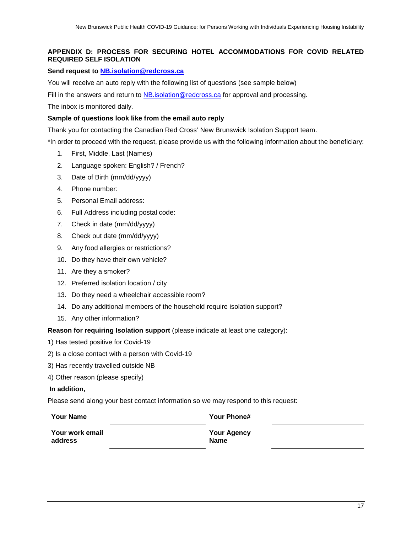## <span id="page-20-0"></span>**APPENDIX D: PROCESS FOR SECURING HOTEL ACCOMMODATIONS FOR COVID RELATED REQUIRED SELF ISOLATION**

## **Send request to [NB.isolation@redcross.ca](mailto:NB.isolation@redcross.ca)**

You will receive an auto reply with the following list of questions (see sample below)

Fill in the answers and return to **NB**.isolation@redcross.ca for approval and processing.

The inbox is monitored daily.

## **Sample of questions look like from the email auto reply**

Thank you for contacting the Canadian Red Cross' New Brunswick Isolation Support team.

\*In order to proceed with the request, please provide us with the following information about the beneficiary:

- 1. First, Middle, Last (Names)
- 2. Language spoken: English? / French?
- 3. Date of Birth (mm/dd/yyyy)
- 4. Phone number:
- 5. Personal Email address:
- 6. Full Address including postal code:
- 7. Check in date (mm/dd/yyyy)
- 8. Check out date (mm/dd/yyyy)
- 9. Any food allergies or restrictions?
- 10. Do they have their own vehicle?
- 11. Are they a smoker?
- 12. Preferred isolation location / city
- 13. Do they need a wheelchair accessible room?
- 14. Do any additional members of the household require isolation support?
- 15. Any other information?

#### **Reason for requiring Isolation support** (please indicate at least one category):

- 1) Has tested positive for Covid-19
- 2) Is a close contact with a person with Covid-19
- 3) Has recently travelled outside NB
- 4) Other reason (please specify)

#### **In addition,**

Please send along your best contact information so we may respond to this request:

| <b>Your Name</b> | Your Phone#        |
|------------------|--------------------|
| Your work email  | <b>Your Agency</b> |
| address          | <b>Name</b>        |